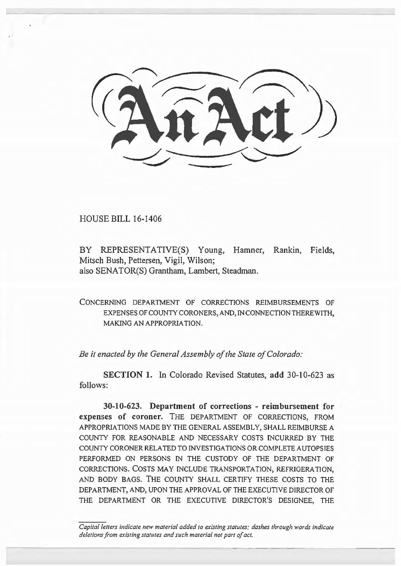HOUSE BILL 16-1406

BY REPRESENTATIVE(S) Young, Hamner, Rankin, Fields, Mitsch Bush, Pettersen, Vigil, Wilson; also SENATOR(S) Grantham, Lambert, Steadman.

CONCERNING DEPARTMENT OF CORRECTIONS REIMBURSEMENTS OF EXPENSES OF COUNTY CORONERS, AND, IN CONNECTION THEREWITH, MAKING AN APPROPRIATION.

*Be it enacted by the General Assembly of the State of Colorado:* 

**SECTION 1.** In Colorado Revised Statutes, **add** 30-10-623 as follows:

**30-10-623. Department of corrections - reimbursement for expenses of coroner.** THE DEPARTMENT OF CORRECTIONS, FROM APPROPRIATIONS MADE BY THE GENERAL ASSEMBLY, SHALL REIMBURSE A COUNTY FOR REASONABLE AND NECESSARY COSTS INCURRED BY THE COUNTY CORONER RELATED TO INVESTIGATIONS OR COMPLETE AUTOPSIES PERFORMED ON PERSONS IN THE CUSTODY OF THE DEPARTMENT OF CORRECTIONS. COSTS MAY INCLUDE TRANSPORTATION, REFRIGERATION, AND BODY BAGS. THE COUNTY SHALL CERTIFY THESE COSTS TO THE DEPARTMENT, AND, UPON THE APPROVAL OF THE EXECUTIVE DIRECTOR OF THE DEPARTMENT OR THE EXECUTIVE DIRECTOR'S DESIGNEE, THE

*Capital letters indicate new material added to existing statutes; dashes through words indicate deletions from existing statutes and such material not part of act.*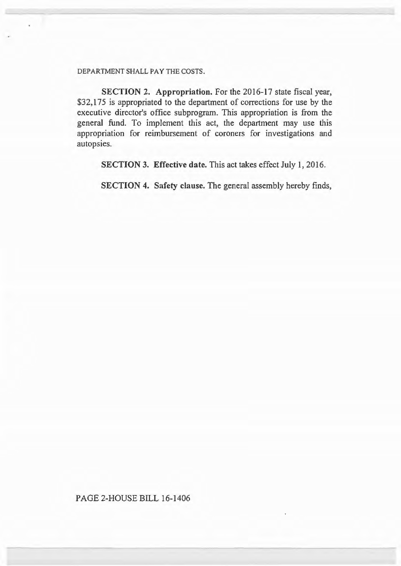DEPARTMENT SHALL PAY THE COSTS.

SECTION 2. Appropriation. For the 2016-17 state fiscal year, \$32,175 is appropriated to the department of corrections for use by the executive director's office subprogram. This appropriation is from the general fund. To implement this act, the department may use this appropriation for reimbursement of coroners for investigations and autopsies.

SECTION 3. Effective date. This act takes effect July 1, 2016.

SECTION 4. Safety clause. The general assembly hereby finds,

PAGE 2-HOUSE BILL 16-1406